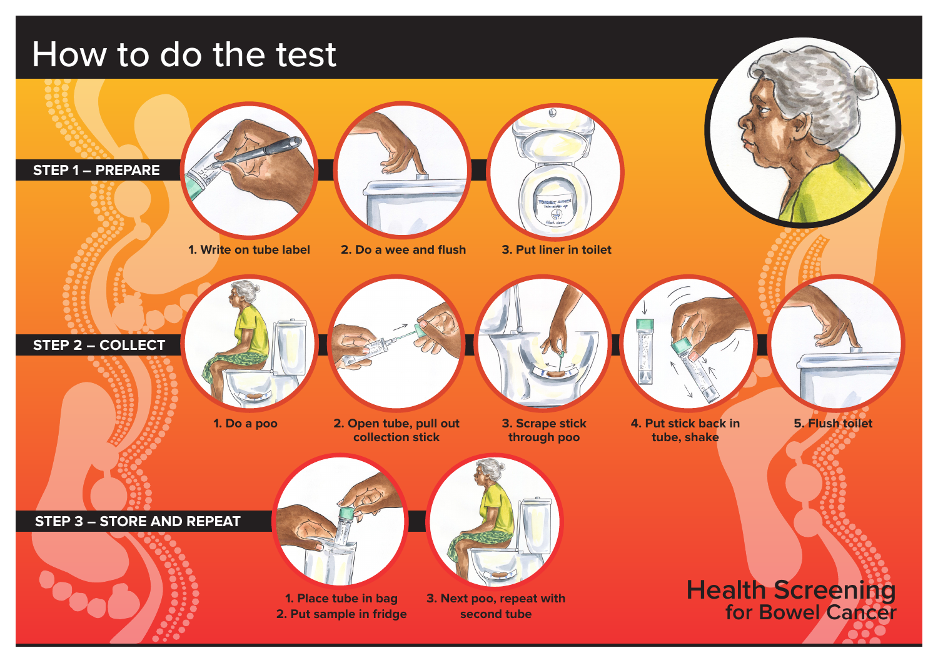# How to do the test